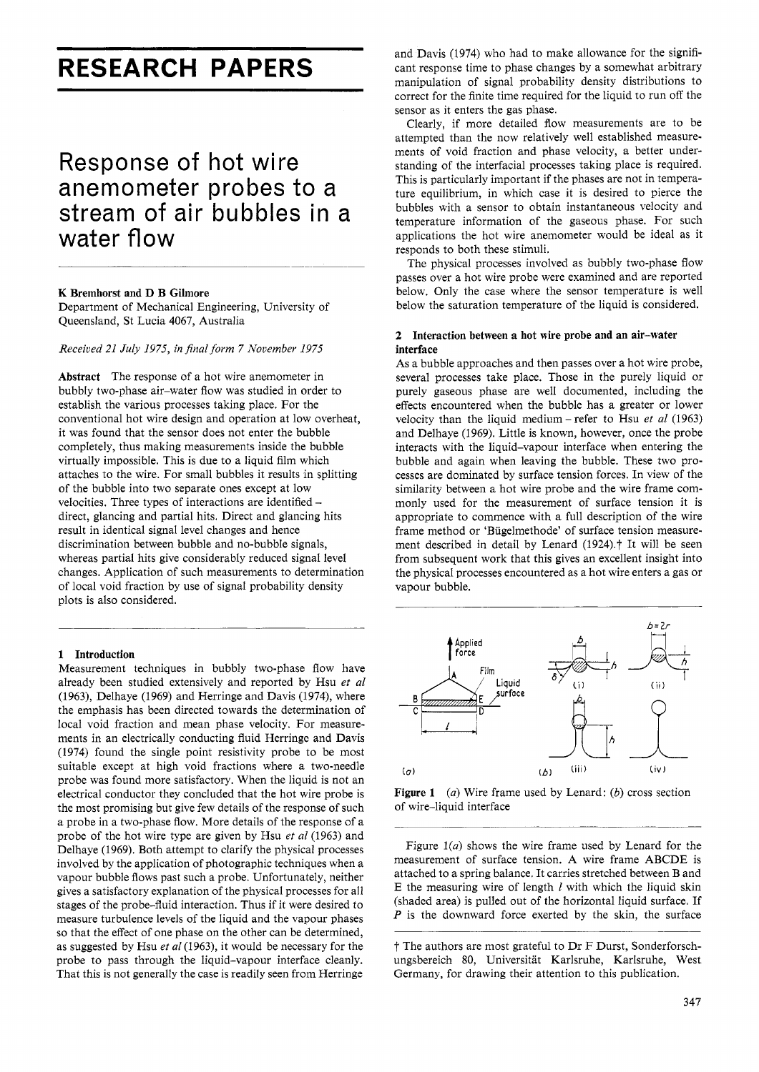# **RESEARCH PAPERS**

# Response of hot wire anemometer probes to a stream of air bubbles in a water flow

#### **K Bremhorst and D B Gilmore**

Department of Mechanical Engineering, University of Queensland, St Lucia **4067,** Australia

#### *Receiced 21 July 1975, in final form 7 hrocember 1975*

**Abstract** The response of a hot wire anemometer in bubbly two-phase air-water flow was studied in order to establish the various processes taking place. For the conventional hot wire design and operation at low overheat, it was found that the sensor does not enter the bubble completely, thus making measurements inside the bubble virtually impossible. This is due to a liquid film which attaches to the wire. For small bubbles it results in splitting of the bubble into two separate ones except at low velocities. Three types of interactions are identified direct, glancing and partial hits. Direct and glancing hits result in identical signal level changes and hence discrimination between bubble and no-bubble signals, whereas partial hits give considerably reduced signal level changes. Application of such measurements to determination of local void fraction by use of signal probability density plots is also considered.

#### **1 Introduction**

Measurement techniques in bubbly two-phase flow have already been studied extensively and reported by Hsu *et al*  **(1963),** Delhaye **(1969)** and Herringe and Davis **(1974),** where the emphasis has been directed towards the determination of local void fraction and mean phase velocity. For measurements in an electrically conducting fluid Herringe and Davis **(1974)** found the single point resistivity probe to be most suitable except at high void fractions where a two-needle probe was found more satisfactory. When the liquid is not an electrical conductor they concluded that the hot wire probe is the most promising but give few details of the response of such a probe in a two-phase flow. More details of the response of a probe of the hot wire type are given by Hsu *et a1* **(1963)** and Delhaye **(1969).** Both attempt to clarify the physical processes involved by the application of photographic techniques when a vapour bubble flows past such a probe. Unfortunately, neither gives a satisfactory explanation of the physical processes for all stages of the probe-fluid interaction. Thus if it were desired to measure turbulence levels of the liquid and the vapour phases so that the effect of one phase on the other can be determined, as suggested by Hsu *et a1* **(1963),** it would be necessary for the probe to pass through the liquid-vapour interface cleanly. That this is not generally the case is readily seen from Herringe

and Davis **(1974)** who had to make allowance for the significant response time to phase changes by a somewhat arbitrary manipulation of signal probability density distributions to correct for the finite time required for the liquid to run off the sensor as it enters the gas phase.

Clearly, if more detailed flow measurements are to be attempted than the now relatively well established measurements of void fraction and phase velocity, a better understanding of the interfacial processes taking place is required. This is particularly important if the phases are not in temperature equilibrium, in which case it is desired to pierce the bubbles with a sensor to obtain instantaneous velocity and temperature information of the gaseous phase. For such applications the hot wire anemometer would be ideal as it responds to both these stimuli.

The physical processes involved as bubbly two-phase flow passes over a hot wire probe were examined and are reported below. Only the case where the sensor temperature is well below the saturation temperature of the liquid is considered.

#### **2 Interaction between a hot wire probe and an air-water interface**

As a bubble approaches and then passes over a hot wire probe, several processes take place. Those in the purely liquid or purely gaseous phase are well documented, including the effects encountered when the bubble has a greater or lower velocity than the liquid medium-refer to Hsu *et al* **(1963)**  and Delhaye **(1969).** Little is known, however, once the probe interacts with the liquid-vapour interface when entering the bubble and again when leaving the bubble. These two processes are dominated by surface tension forces. In view of the similarity between a hot wire probe and the wire frame commonly used for the measurement of surface tension it is appropriate to commence with a full description of the wire frame method or 'Bugelmethode' of surface tension measurement described in detail by Lenard (1924).<sup>†</sup> It will be seen from subsequent work that this gives an excellent insight into the physical processes encountered as a hot wire enters a gas or vapour bubble.



**Figure 1**  *(a)* Wire frame used by Lenard: *(6)* cross section of wire-liquid interface

Figure  $1(a)$  shows the wire frame used by Lenard for the measurement of surface tension. A wire frame ABCDE is attached to a spring balance. It carries stretched between B and E the measuring wire of length *1* with which the liquid skin (shaded area) is pulled out of the horizontal liquid surface. If *P* is the downward force exerted by the skin, the surface

**t** The authors are most grateful to Dr F Durst, Sonderforschungsbereich 80, Universitat Karlsruhe, Karlsruhe, West Germany, for drawing their attention to this publication.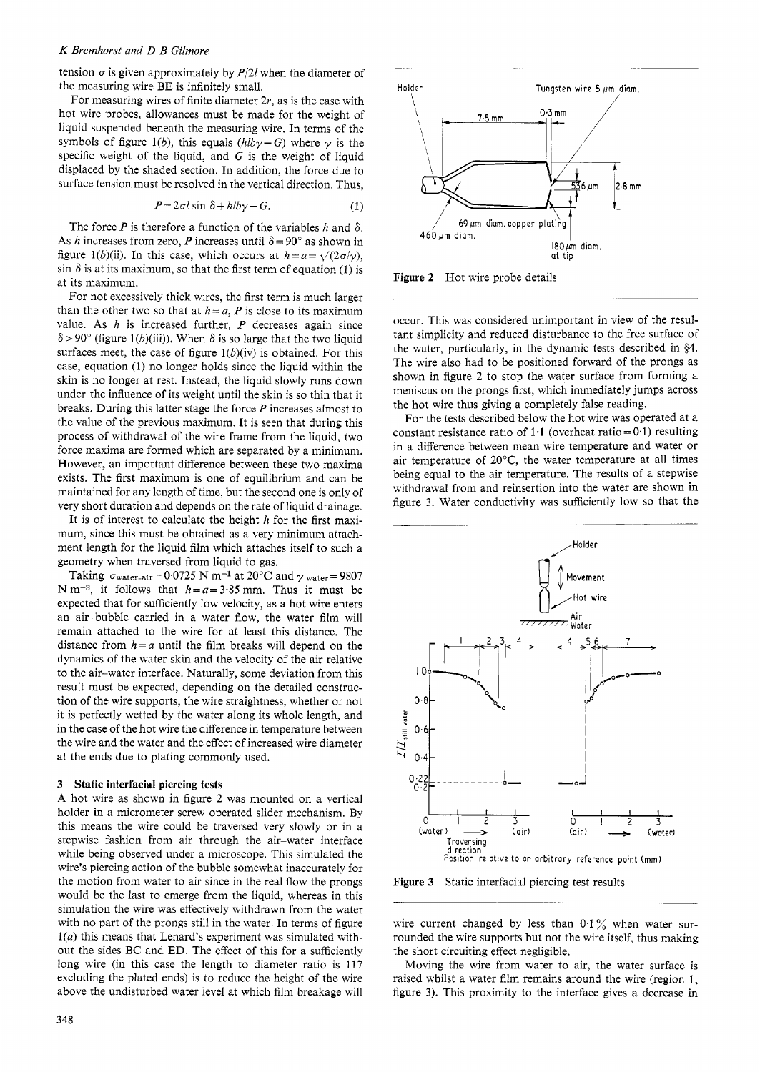# *K Bremhorst and D B Gilmore*

tension  $\sigma$  is given approximately by  $P/2l$  when the diameter of the measuring wire BE is infinitely small.

For measuring wires of finite diameter *2r,* as is the case with hot wire probes, allowances must be made for the weight of liquid suspended beneath the measuring wire. In terms of the symbols of figure 1(b), this equals  $(hlby - G)$  where  $\gamma$  is the specific weight of the liquid, and  $G$  is the weight of liquid displaced by the shaded section. In addition, the force due to surface tension must be resolved in the vertical direction. Thus,

$$
P = 2\sigma l \sin \delta + h l b \gamma - G. \tag{1}
$$

The force  $P$  is therefore a function of the variables  $h$  and  $\delta$ . As *h* increases from zero, *P* increases until  $\delta = 90^\circ$  as shown in figure 1(b)(ii). In this case, which occurs at  $h = a = \sqrt{2\sigma/\gamma}$ ,  $\sin \delta$  is at its maximum, so that the first term of equation (1) is at its maximum.

For not excessively thick wires, the first term is much larger than the other two so that at  $h = a$ , P is close to its maximum value. **As** *h* is increased further, P decreases again since  $\delta$  > 90° (figure 1(b)(iii)). When  $\delta$  is so large that the two liquid surfaces meet, the case of figure  $1(b)(iv)$  is obtained. For this case, equation **(1)** no longer holds since the liquid within the skin is no longer at rest. Instead, the liquid slowly runs down under the influence of its weight until the skin is so thin that it breaks. During this latter stage the force *P* increases almost to the value of the previous maximum. It is seen that during this process of withdrawal of the wire frame from the liquid, two force maxima are formed which are separated by a minimum. However, an important difference between these two maxima exists. The first maximum is one of equilibrium and can be maintained for any length of time, but the second one is only of very short duration and depends on the rate of liquid drainage.

It is of interest to calculate the height *h* for the first maximum, since this must be obtained as a very minimum attachment length for the liquid film which attaches itself to such a geometry when traversed from liquid to gas.

Taking  $\sigma_{\text{water-air}} = 0.0725 \text{ N m}^{-1}$  at 20°C and  $\gamma_{\text{water}} = 9807$ N m<sup>-3</sup>, it follows that  $h=a=3.85$  mm. Thus it must be expected that for sufficiently low velocity, as a hot wire enters an air bubble carried in a water flow, the water film will remain attached to the wire for at least this distance. The distance from  $h = a$  until the film breaks will depend on the dynamics of the water skin and the velocity of the air relative to the air-water interface. Naturally, some deviation from this result must be expected, depending on the detailed construction of the wire supports, the wire straightness, whether or not it is perfectly wetted by the water along its whole length, and in the case of the hot wire the difference in temperature between the wire and the water and the effect of increased wire diameter at the ends due to plating commonly used.

#### **3 Static interfacial piercing tests**

**A** hot wire as shown in figure *2* was mounted on a vertical holder in a micrometer screw operated slider mechanism. By this means the wire could be traversed very slowly or in a stepwise fashion from air through the air-water interface while being observed under a microscope. This simulated the wire's piercing action of the bubble somewhat inaccurately for the motion from water to air since in the real flow the prongs would be the last to emerge from the liquid, whereas in this simulation the wire was effectively withdrawn from the water with no part of the prongs still in the water. In terms of figure **l(a)** this means that Lenard's experiment was simulated without the sides BC and ED. The effect of this for a sufficiently long wire (in this case the length to diameter ratio is **117**  excluding the plated ends) is to reduce the height of the wire above the undisturbed water level at which film breakage will



**Figure 2** Hot wire probe details

occur. This was considered unimportant in view of the resultant simplicity and reduced disturbance to the free surface of the water, particularly, in the dynamic tests described in **34.**  The wire also had to be positioned forward of the prongs as shown in figure *2* to stop the water surface from forming a meniscus on the prongs first, which immediately jumps across the hot wire thus giving a completely false reading.

For the tests described below the hot wire was operated at a constant resistance ratio of  $1.1$  (overheat ratio = 0.1) resulting in a difference between mean wire temperature and water or air temperature of *20°C,* the water temperature at all times being equal to the air temperature. The results of a stepwise withdrawal from and reinsertion into the water are shown in figure 3. Water conductivity was sufficiently low so that the



**Figure 3** Static interfacial piercing test results

wire current changed by less than  $0.1\%$  when water surrounded the wire supports but not the wire itself, thus making the short circuiting effect negligible.

Moving the wire from water to air, the water surface is raised whilst a water film remains around the wire (region 1, figure 3). This proximity to the interface gives a decrease in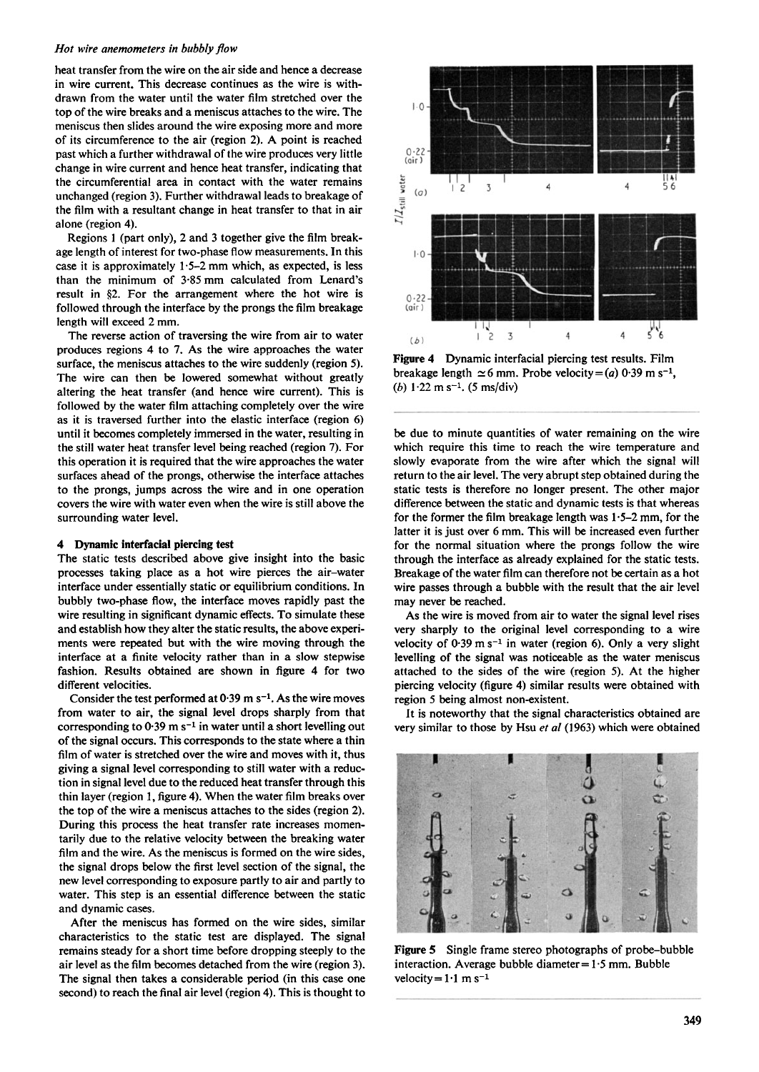#### *Hot wire anemometers in bubbly flow*

heat transfer from the wire on the air side and hence a decrease in wire current. This decrease continues **as** the wire is withdrawn from the water until the water film stretched over the top of the wire breaks and a meniscus attaches to the wire. The meniscus then slides around the wire exposing more and more of its circumference to the air (region 2). A point is reached past which a further withdrawal of the wire produces very little change in wire current and hence heat transfer, indicating that the circumferential area in contact with the water remains unchanged (region **3).** Further withdrawal leads to breakage of the film with a resultant change in heat transfer to that in air alone (region **4).** 

Regions 1 (part only), 2 and **3** together give the film breakage length of interest for two-phase flow measurements. In this case it is approximately 1.5-2 mm which, as expected, is less than the minimum of 3.85 mm calculated from Lenard's result in §2. For the arrangement where the hot wire is followed through the interface by the prongs the film breakage length will exceed 2 mm.

The reverse action of traversing the wire from air to water produces regions **4** to 7. As the wire approaches the water surface, the meniscus attaches to the wire suddenly (region *5).*  The wire can then be lowered somewhat without greatly altering the heat transfer (and hence wire current). This is followed by the water film attaching completely over the wire as it is traversed further into the elastic interface (region **6)**  until it becomes completely immersed in the water, resulting in the still water heat transfer level being reached (region 7). For this operation it is required that the wire approaches the water surfaces ahead of the prongs, otherwise the interface attaches to the prongs, jumps across the wire and in one operation covers the wire with water even when the wire is still above the surrounding water level.

#### **4 Dynamic interfacial piercing test**

The static tests described above give insight into the basic processes taking place as a hot wire pierces the air-water interface under essentially static or equilibrium conditions. In bubbly two-phase flow, the interface moves rapidly past the wire resulting in significant dynamic effects. **To** simulate these and establish how they alter the static results, the above experiments were repeated but with the wire moving through the interface at a finite velocity rather than in a slow stepwise fashion. Results obtained are shown in figure **4** for two different velocities.

Consider the test performed at **0-39** m **s-l.** As the wire moves from water to air, the signal level drops sharply from that corresponding to **0.39** m **s-1** in water until a short levelling out of the signal occurs. This corresponds to the state where a thin film of water is stretched over the wire and moves with it, thus giving **a** signal level corresponding to still water with a reduction in signal level due to the reduced heat transfer through this thin layer (region 1, figure **4).** When the water film breaks over the top of the wire a meniscus attaches to the sides (region 2). During this process the heat transfer rate increases momentarily due to the relative velocity between the breaking water film and the wire. As the meniscus is formed on the wire sides, the signal drops below the first level section of the signal, the new level corresponding to exposure partly to air and partly to water. This step is an essential difference between the static and dynamic cases.

After the meniscus has formed on the wire sides, similar characteristics to the static test are displayed. The signal remains steady for a short time before dropping steeply to the air level as the film becomes detached from the wire (region **3).**  The signal then takes a considerable period (in this case one second) to reach the final air level (region **4).** This is thought to



**Figure 4** Dynamic interfacial piercing test results. Film breakage length  $\simeq 6$  mm. Probe velocity = (a) 0.39 m s<sup>-1</sup>, *(b)* 1.22 m **s-1.** *(5* ms/div)

be due to minute quantities of water remaining on the wire which require this time to reach the wire temperature and slowly evaporate from the wire after which the signal will return to the air level. The very abrupt step obtained during the static tests is therefore no longer present. The other major difference between the static and dynamic tests is that whereas for the former the film breakage length was  $1.5-2$  mm, for the latter it is just over **6** mm. This will be increased even further for the normal situation where the prongs follow the wire through the interface as already explained for the static tests. Breakage of the water film can therefore not be certain as a hot wire passes through a bubble with the result that the air level may never be reached.

As the wire is moved from air to water the signal level rises very sharply to the original level corresponding to a wire velocity of **0.39** m **s-1** in water (region 6). Only a very slight levelling of the signal was noticeable as the water meniscus attached to the sides of the wire (region *5).* At the higher piercing velocity (figure **4)** similar results were obtained with region 5 being almost non-existent.

It is noteworthy that the signal characteristics obtained are very similar to those by Hsu et *a1* **(1963)** which were obtained



**Figure 5** Single frame stereo photographs of probe-bubble interaction. Average bubble diameter = **1-5** mm. Bubble velocity =  $1.1 \text{ m s}^{-1}$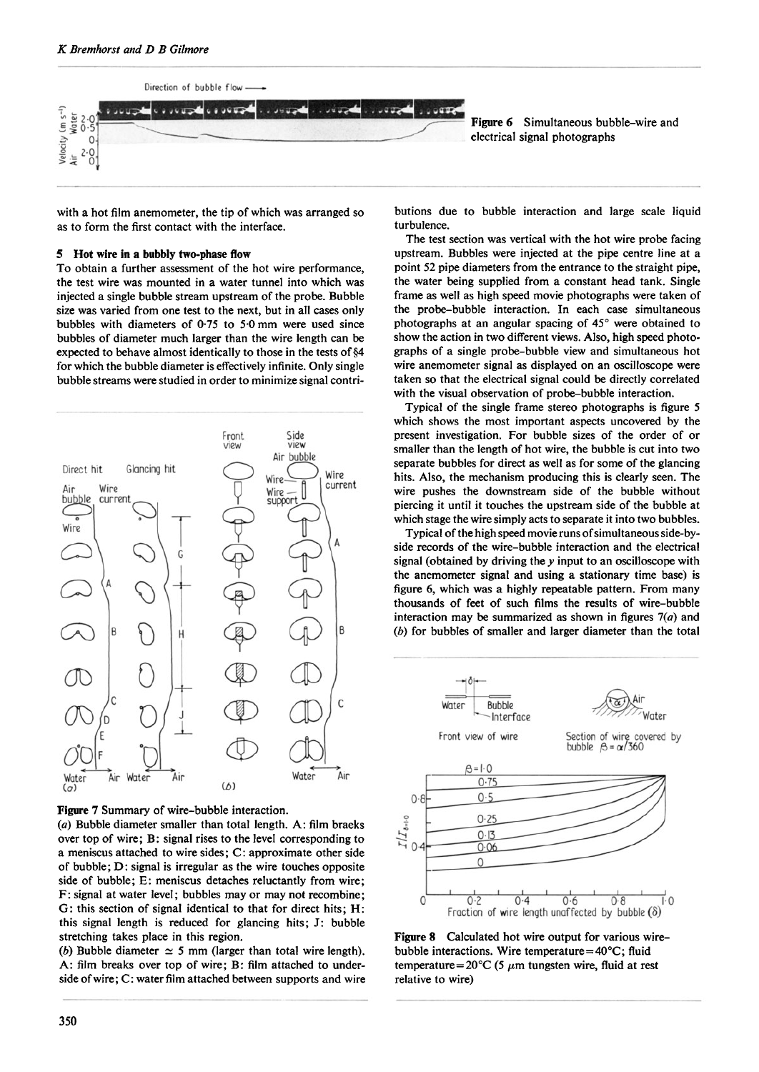

with a hot film anemometer, the tip of which was arranged so as to form the first contact with the interface.

#### **5 Hot wire in a bubbly two-phase flow**

To obtain a further assessment of the hot wire performance, the test wire was mounted in a water tunnel into which was injected a single bubble stream upstream of the probe. Bubble size was varied from one test to the next, but in all cases only bubbles with diameters of 0.75 to 5.0 mm were used since bubbles of diameter much larger than the wire length can be expected to behave almost identically to those in the tests of \$4 for which the bubble diameter is effectively infinite. Only single bubble streams were studied in order to minimize signal contri-



**Figure 7** Summary of wire-bubble interaction.

*(a)* Bubble diameter smaller than total length. A: film braeks over top of wire; B: signal rises to the level corresponding to a meniscus attached to wire sides; C: approximate other side of bubble; D: signal is irregular as the wire touches opposite side of bubble; E: meniscus detaches reluctantly from wire; F: signal at water level; bubbles may or may not recombine; G: this section of signal identical to that for direct hits; H: this signal length is reduced for glancing hits; J: bubble stretching takes place in this region.

(b) Bubble diameter  $\approx$  5 mm (larger than total wire length). A: film breaks over top of wire; B: film attached to underside of wire; C: water film attached between supports and wire

**Figure 6** Simultaneous bubble-wire and electrical signal photographs

butions due to bubble interaction and large scale liquid turbulence.

The test section was vertical with the hot wire probe facing upstream. Bubbles were injected at the pipe centre line at a point *52* pipe diameters from the entrance to the straight pipe, the water being supplied from a constant head tank. Single frame as well as high speed movie photographs were taken of the probe-bubble interaction. In each case simultaneous photographs at an angular spacing of **45"** were obtained to show the action in two different views. Also, high speed photographs of a single probe-bubble view and simultaneous hot wire anemometer signal as displayed on an oscilloscope were taken so that the electrical signal could be directly correlated with the visual observation of probe-bubble interaction.

Typical of the single frame stereo photographs is figure *<sup>5</sup>* which shows the most important aspects uncovered by the present investigation. For bubble sizes of the order of or smaller than the length of hot wire, the bubble is cut into two separate bubbles for direct as well as for some of the glancing hits. Also, the mechanism producing this is clearly seen. The wire pushes the downstream side of the bubble without piercing it until it touches the upstream side of the bubble at which stage the wire simply acts to separate it into two bubbles.

Typical of the high speed movie runs of simultaneous side-byside records of the wire-bubble interaction and the electrical signal (obtained by driving the  $y$  input to an oscilloscope with the anemometer signal and using a stationary time base) is figure 6, which was a highly repeatable pattern. From many thousands of feet of such films the results of wire-bubble interaction may be summarized as shown in figures *7(a)* and (b) for bubbles of smaller and larger diameter than the total



**Figure 8** Calculated hot wire output for various wirebubble interactions. Wire temperature=40°C; fluid temperature= $20^{\circ}$ C (5  $\mu$ m tungsten wire, fluid at rest relative to wire)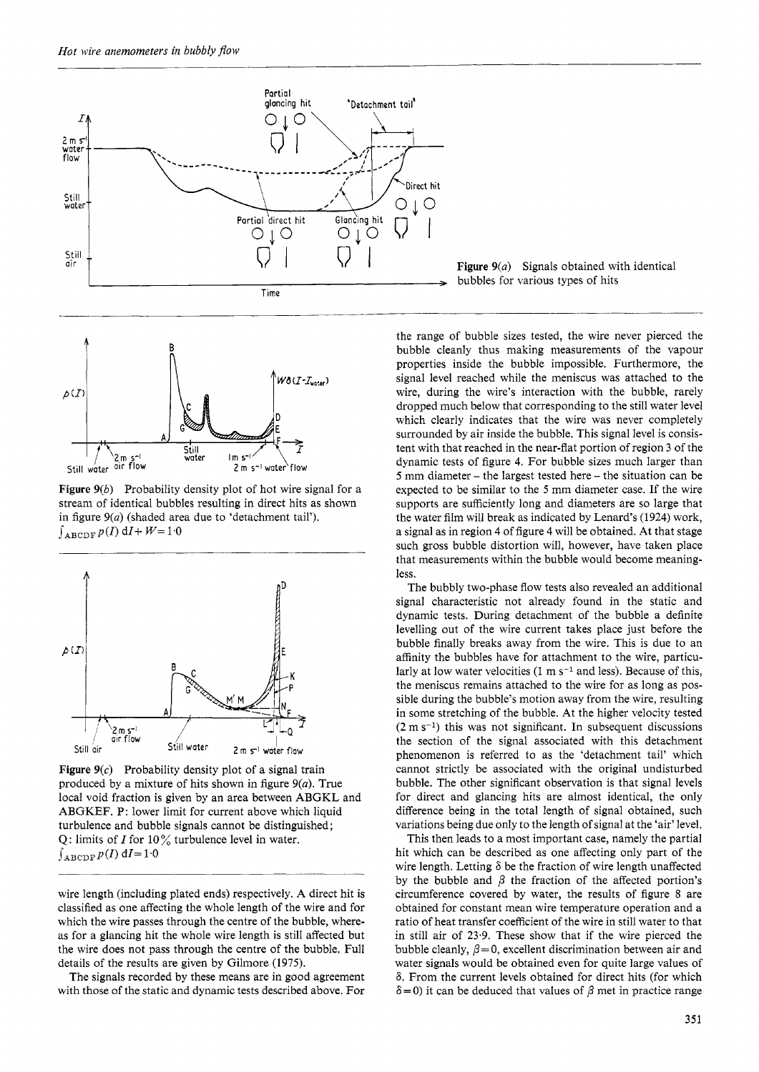



**Figure** *9(b)* Probability density plot of hot wire signal for a stream of identical bubbles resulting in direct hits as shown in figure *9(a)* (shaded area due to 'detachment tail').  $\int_{ABCDF} p(I) dI + W = 1.0$ 



**Figure 9**(c) Probability density plot of a signal train produced by a mixture of hits shown in figure *9(u).* True local void fraction is given by an area between ABGKL and ABGKEF. P: lower limit for current above which liquid turbulence and bubble signals cannot be distinguished; Q: limits of *I* for 10% turbulence level in water.  $\int_{ABCDF} p(I) dI = 1.0$ 

wire length (including plated ends) respectively. A direct hit is classified as one affecting the whole length of the wire and for which the wire passes through the centre of the bubble, whereas for a glancing hit the whole wire length is still affected but the wire does not pass through the centre of the bubble. Full details of the results are given by Gilmore (1975).

The signals recorded by these means are in good agreement with those of the static and dynamic tests described above. For

**Figure** *9(a)* Signals obtained with identical bubbles for various types of hits

the range of bubble sizes tested, the wire never pierced the bubble cleanly thus making measurements of the vapour properties inside the bubble impossible. Furthermore, the signal level reached while the meniscus was attached to the wire, during the wire's interaction with the bubble, rarely dropped much below that corresponding to the still water level which clearly indicates that the wire was never completely surrounded by air inside the bubble. This signal level is consistent with that reached in the near-flat portion of region 3 of the dynamic tests of figure 4. For bubble sizes much larger than 5 mm diameter - the largest tested here - the situation can be expected to be similar to the *5* mm diameter case. If the wire supports are sufficiently long and diameters are so large that the water film will break as indicated by Lenard's (1924) work, a signal as in region 4 of figure 4 will be obtained. At that stage such gross bubble distortion will, however, have taken place that measurements within the bubble would become meaningless.

The bubbly two-phase flow tests also revealed an additional signal characteristic not already found in the static and dynamic tests. During detachment of the bubble a definite levelling out of the wire current takes place just before the bubble finally breaks away from the wire. This is due to an affinity the bubbles have for attachment to the wire, particularly at low water velocities (1 m  $s^{-1}$  and less). Because of this, the meniscus remains attached to the wire for as long as possible during the bubble's motion away from the wire, resulting in some stretching of the bubble. At the higher velocity tested **(2** m s-1) this was not significant. In subsequent discussions the section of the signal associated with this detachment phenomenon is referred to as the 'detachment tail' which cannot strictly be associated with the original undisturbed bubble. The other significant observation is that signal levels for direct and glancing hits are almost identical, the only difference being in the total length of signal obtained, such variations being due only to the length of signal at the 'air' level.

This then leads to a most important case, namely the partial hit which can be described as one affecting only part of the wire length. Letting *6* be the fraction of wire length unaffected by the bubble and  $\beta$  the fraction of the affected portion's circumference covered by water, the results of figure 8 are obtained for constant mean wire temperature operation and **a**  ratio of heat transfer coefficient of the wire in still water to that in still air of 23.9. These show that if the wire pierced the bubble cleanly,  $\beta = 0$ , excellent discrimination between air and water signals would be obtained even for quite large values of  $\delta$ . From the current levels obtained for direct hits (for which  $\delta$ =0) it can be deduced that values of  $\beta$  met in practice range